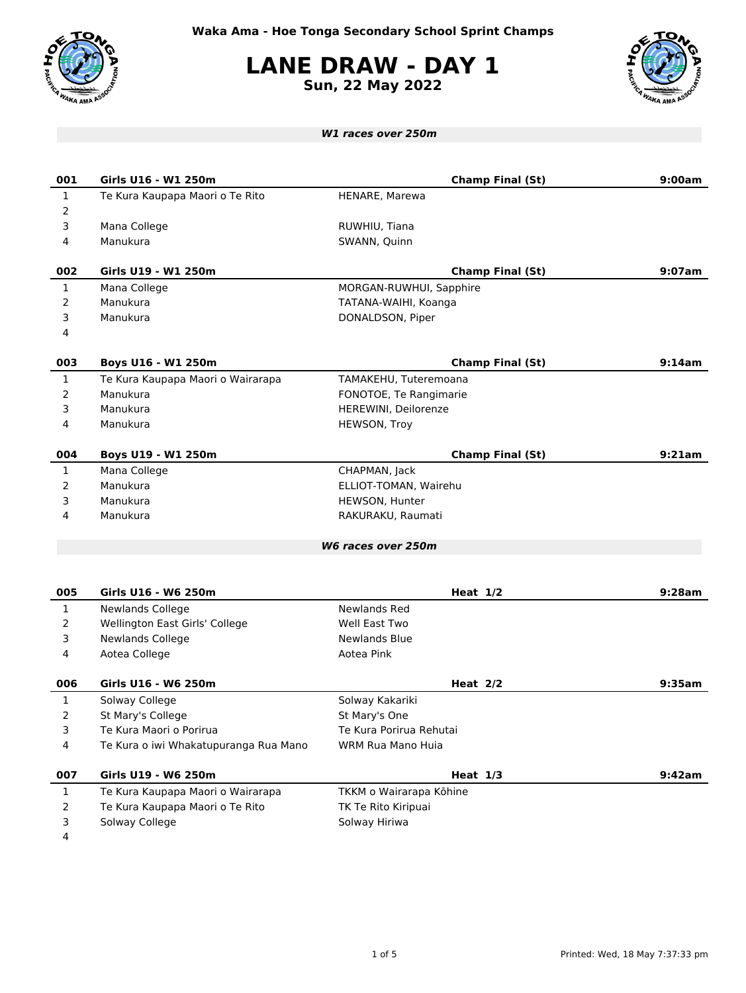

**LANE DRAW - DAY 1**

**Sun, 22 May 2022**



| <b>W1 races over 250m</b> |                                       |                         |        |  |  |
|---------------------------|---------------------------------------|-------------------------|--------|--|--|
|                           |                                       |                         |        |  |  |
| 001                       | Girls U16 - W1 250m                   | <b>Champ Final (St)</b> | 9:00am |  |  |
| $\mathbf{1}$              | Te Kura Kaupapa Maori o Te Rito       | HENARE, Marewa          |        |  |  |
| 2                         |                                       |                         |        |  |  |
| 3                         | Mana College                          | RUWHIU, Tiana           |        |  |  |
| 4                         | Manukura                              | SWANN, Quinn            |        |  |  |
| 002                       | Girls U19 - W1 250m                   | <b>Champ Final (St)</b> | 9:07am |  |  |
| $\mathbf{1}$              | Mana College                          | MORGAN-RUWHUI, Sapphire |        |  |  |
| 2                         | Manukura                              | TATANA-WAIHI, Koanga    |        |  |  |
| 3                         | Manukura                              | DONALDSON, Piper        |        |  |  |
| 4                         |                                       |                         |        |  |  |
| 003                       | Boys U16 - W1 250m                    | <b>Champ Final (St)</b> | 9:14am |  |  |
| $\mathbf{1}$              | Te Kura Kaupapa Maori o Wairarapa     | TAMAKEHU, Tuteremoana   |        |  |  |
| 2                         | Manukura                              | FONOTOE, Te Rangimarie  |        |  |  |
| 3                         | Manukura                              | HEREWINI, Deilorenze    |        |  |  |
| 4                         | Manukura                              | HEWSON, Troy            |        |  |  |
| 004                       | Boys U19 - W1 250m                    | <b>Champ Final (St)</b> | 9:21am |  |  |
| $\mathbf{1}$              | Mana College                          | CHAPMAN, Jack           |        |  |  |
| 2                         | Manukura                              | ELLIOT-TOMAN, Wairehu   |        |  |  |
| 3                         | Manukura                              | HEWSON, Hunter          |        |  |  |
| 4                         | Manukura                              | RAKURAKU, Raumati       |        |  |  |
|                           |                                       | W6 races over 250m      |        |  |  |
|                           |                                       |                         |        |  |  |
| 005                       | Girls U16 - W6 250m                   | Heat $1/2$              | 9:28am |  |  |
| $\mathbf{1}$              | Newlands College                      | Newlands Red            |        |  |  |
| $\overline{2}$            | Wellington East Girls' College        | Well East Two           |        |  |  |
| 3                         | Newlands College                      | <b>Newlands Blue</b>    |        |  |  |
| 4                         | Aotea College                         | Aotea Pink              |        |  |  |
| 006                       | Girls U16 - W6 250m                   | Heat $2/2$              | 9:35am |  |  |
| 1                         | Solway College                        | Solway Kakariki         |        |  |  |
| 2                         | St Mary's College                     | St Mary's One           |        |  |  |
| 3                         | Te Kura Maori o Porirua               | Te Kura Porirua Rehutai |        |  |  |
| 4                         | Te Kura o iwi Whakatupuranga Rua Mano | WRM Rua Mano Huia       |        |  |  |
| 007                       | Girls U19 - W6 250m                   | Heat $1/3$              | 9:42am |  |  |
| $\mathbf{1}$              | Te Kura Kaupapa Maori o Wairarapa     | TKKM o Wairarapa Kōhine |        |  |  |
| 2                         | Te Kura Kaupapa Maori o Te Rito       | TK Te Rito Kiripuai     |        |  |  |
| 3                         | Solway College                        | Solway Hiriwa           |        |  |  |
| 4                         |                                       |                         |        |  |  |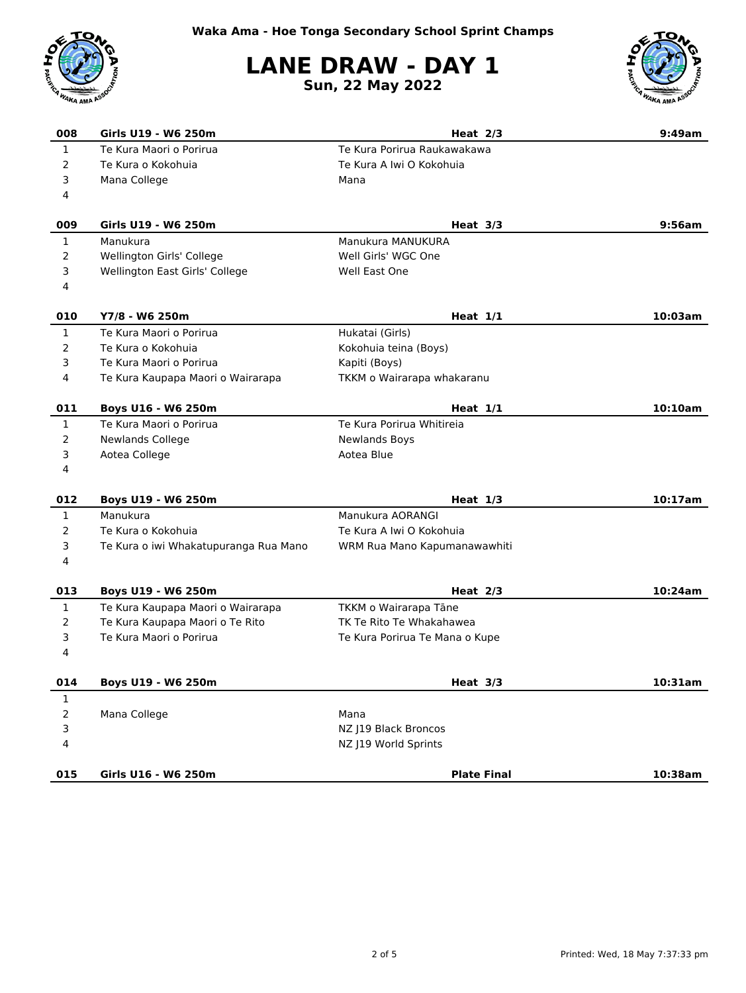

## **LANE DRAW - DAY 1**

**Sun, 22 May 2022**



| 008                     | Girls U19 - W6 250m                   | Heat $2/3$                     | 9:49am  |
|-------------------------|---------------------------------------|--------------------------------|---------|
| $\mathbf{1}$            | Te Kura Maori o Porirua               | Te Kura Porirua Raukawakawa    |         |
| $\overline{2}$          | Te Kura o Kokohuia                    | Te Kura A Iwi O Kokohuia       |         |
| 3                       | Mana College                          | Mana                           |         |
| 4                       |                                       |                                |         |
| 009                     | Girls U19 - W6 250m                   | Heat $3/3$                     | 9:56am  |
| $\mathbf{1}$            | Manukura                              | Manukura MANUKURA              |         |
| $\overline{2}$          | Wellington Girls' College             | Well Girls' WGC One            |         |
| 3                       | Wellington East Girls' College        | Well East One                  |         |
| 4                       |                                       |                                |         |
| 010                     | Y7/8 - W6 250m                        | Heat $1/1$                     | 10:03am |
| $\mathbf{1}$            | Te Kura Maori o Porirua               | Hukatai (Girls)                |         |
| 2                       | Te Kura o Kokohuia                    | Kokohuia teina (Boys)          |         |
| 3                       | Te Kura Maori o Porirua               | Kapiti (Boys)                  |         |
| 4                       | Te Kura Kaupapa Maori o Wairarapa     | TKKM o Wairarapa whakaranu     |         |
| 011                     | Boys U16 - W6 250m                    | Heat $1/1$                     | 10:10am |
| $\mathbf{1}$            | Te Kura Maori o Porirua               | Te Kura Porirua Whitireia      |         |
| 2                       | <b>Newlands College</b>               | <b>Newlands Boys</b>           |         |
| 3                       | Aotea College                         | Aotea Blue                     |         |
| 4                       |                                       |                                |         |
| 012                     | Boys U19 - W6 250m                    | Heat $1/3$                     | 10:17am |
| $\mathbf{1}$            | Manukura                              | Manukura AORANGI               |         |
| $\overline{2}$          | Te Kura o Kokohuia                    | Te Kura A Iwi O Kokohuia       |         |
| 3                       | Te Kura o iwi Whakatupuranga Rua Mano | WRM Rua Mano Kapumanawawhiti   |         |
| 4                       |                                       |                                |         |
| 013                     | Boys U19 - W6 250m                    | Heat $2/3$                     | 10:24am |
| $\mathbf{1}$            | Te Kura Kaupapa Maori o Wairarapa     | TKKM o Wairarapa Tāne          |         |
| $\overline{2}$          | Te Kura Kaupapa Maori o Te Rito       | TK Te Rito Te Whakahawea       |         |
| 3                       | Te Kura Maori o Porirua               | Te Kura Porirua Te Mana o Kupe |         |
| 4                       |                                       |                                |         |
| 014                     | Boys U19 - W6 250m                    | Heat $3/3$                     | 10:31am |
| $\,1$                   |                                       |                                |         |
| $\overline{2}$          | Mana College                          | Mana                           |         |
| 3                       |                                       | NZ J19 Black Broncos           |         |
| $\overline{\mathbf{4}}$ |                                       | NZ J19 World Sprints           |         |
| 015                     | Girls U16 - W6 250m                   | <b>Plate Final</b>             | 10:38am |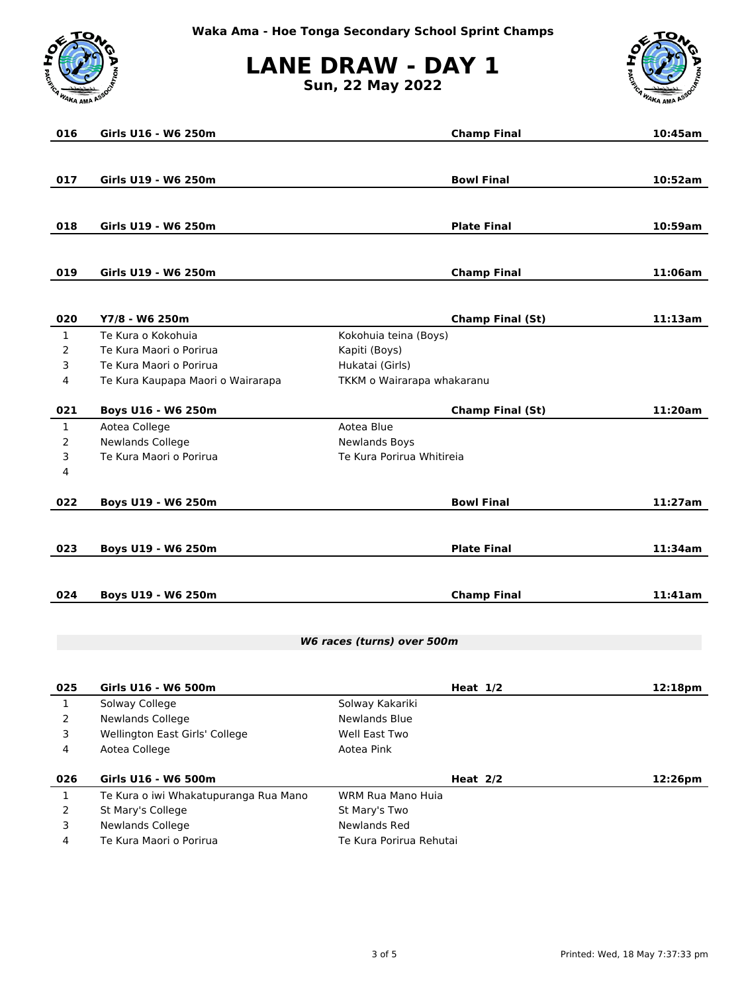

**LANE DRAW - DAY 1**

**Sun, 22 May 2022**



| 016                        | Girls U16 - W6 250m               |                            | <b>Champ Final</b>      | 10:45am |
|----------------------------|-----------------------------------|----------------------------|-------------------------|---------|
|                            |                                   |                            |                         |         |
|                            |                                   |                            |                         |         |
| 017                        | Girls U19 - W6 250m               |                            | <b>Bowl Final</b>       | 10:52am |
|                            |                                   |                            |                         |         |
| 018                        | Girls U19 - W6 250m               |                            | <b>Plate Final</b>      | 10:59am |
|                            |                                   |                            |                         |         |
|                            |                                   |                            |                         |         |
| 019                        | Girls U19 - W6 250m               |                            | <b>Champ Final</b>      | 11:06am |
|                            |                                   |                            |                         |         |
| 020                        | Y7/8 - W6 250m                    |                            | <b>Champ Final (St)</b> | 11:13am |
| $\mathbf{1}$               | Te Kura o Kokohuia                | Kokohuia teina (Boys)      |                         |         |
| $\overline{2}$             | Te Kura Maori o Porirua           | Kapiti (Boys)              |                         |         |
| 3                          | Te Kura Maori o Porirua           | Hukatai (Girls)            |                         |         |
| 4                          | Te Kura Kaupapa Maori o Wairarapa | TKKM o Wairarapa whakaranu |                         |         |
| 021                        | Boys U16 - W6 250m                |                            | <b>Champ Final (St)</b> | 11:20am |
| $\mathbf{1}$               | Aotea College                     | Aotea Blue                 |                         |         |
| $\overline{2}$             | Newlands College                  | <b>Newlands Boys</b>       |                         |         |
| 3                          | Te Kura Maori o Porirua           | Te Kura Porirua Whitireia  |                         |         |
| 4                          |                                   |                            |                         |         |
|                            |                                   |                            |                         |         |
| 022                        | Boys U19 - W6 250m                |                            | <b>Bowl Final</b>       | 11:27am |
|                            |                                   |                            |                         |         |
| 023                        | <b>Boys U19 - W6 250m</b>         |                            | <b>Plate Final</b>      | 11:34am |
|                            |                                   |                            |                         |         |
|                            |                                   |                            |                         |         |
| 024                        | Boys U19 - W6 250m                |                            | <b>Champ Final</b>      | 11:41am |
|                            |                                   |                            |                         |         |
| W6 races (turns) over 500m |                                   |                            |                         |         |
|                            |                                   |                            |                         |         |
| 025                        | Girls U16 - W6 500m               |                            | Heat $1/2$              | 12:18pm |
| $\mathbf{1}$               | Solway College                    | Solway Kakariki            |                         |         |
| $\overline{2}$             | Newlands College                  | Newlands Blue              |                         |         |
| 3                          | Wellington East Girls' College    | Well East Two              |                         |         |
| 4                          | Aotea College                     | Aotea Pink                 |                         |         |
|                            |                                   |                            |                         |         |

| 026 | Girls U16 - W6 500m                   | Heat $2/2$              | 12:26pm |
|-----|---------------------------------------|-------------------------|---------|
|     | Te Kura o iwi Whakatupuranga Rua Mano | WRM Rua Mano Huja       |         |
|     | St Mary's College                     | St Mary's Two           |         |
|     | Newlands College                      | Newlands Red            |         |
|     | Te Kura Maori o Porirua               | Te Kura Porirua Rehutai |         |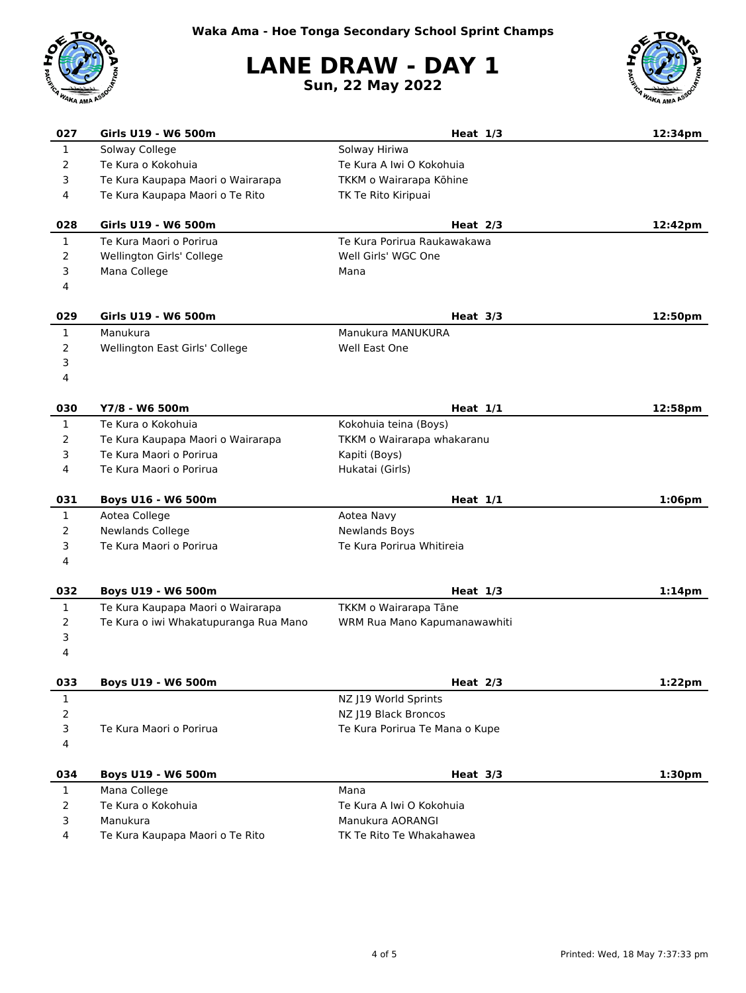## **LANE DRAW - DAY 1 Sun, 22 May 2022**



| 027            | Girls U19 - W6 500m                         | Heat $1/3$                                   | 12:34pm            |
|----------------|---------------------------------------------|----------------------------------------------|--------------------|
| $\mathbf{1}$   | Solway College                              | Solway Hiriwa                                |                    |
| 2              | Te Kura o Kokohuia                          | Te Kura A Iwi O Kokohuia                     |                    |
| 3              | Te Kura Kaupapa Maori o Wairarapa           | TKKM o Wairarapa Kōhine                      |                    |
| 4              | Te Kura Kaupapa Maori o Te Rito             | TK Te Rito Kiripuai                          |                    |
| 028            | Girls U19 - W6 500m                         | Heat $2/3$                                   | 12:42pm            |
| $\mathbf{1}$   | Te Kura Maori o Porirua                     | Te Kura Porirua Raukawakawa                  |                    |
| $\overline{2}$ | Wellington Girls' College                   | Well Girls' WGC One                          |                    |
| 3              | Mana College                                | Mana                                         |                    |
| 4              |                                             |                                              |                    |
| 029            | Girls U19 - W6 500m                         | Heat $3/3$                                   | 12:50pm            |
| $\mathbf{1}$   | Manukura                                    | Manukura MANUKURA                            |                    |
| $\overline{2}$ | Wellington East Girls' College              | Well East One                                |                    |
| 3              |                                             |                                              |                    |
| 4              |                                             |                                              |                    |
| 030            | Y7/8 - W6 500m                              | Heat $1/1$                                   | 12:58pm            |
| $\mathbf{1}$   | Te Kura o Kokohuja                          | Kokohuia teina (Boys)                        |                    |
| 2              | Te Kura Kaupapa Maori o Wairarapa           | TKKM o Wairarapa whakaranu                   |                    |
| 3              | Te Kura Maori o Porirua                     | Kapiti (Boys)                                |                    |
| 4              | Te Kura Maori o Porirua                     | Hukatai (Girls)                              |                    |
| 031            | Boys U16 - W6 500m                          | Heat $1/1$                                   | $1:06$ pm          |
| $\mathbf{1}$   | Aotea College                               | Aotea Navy                                   |                    |
| 2              | Newlands College                            | <b>Newlands Boys</b>                         |                    |
| 3              | Te Kura Maori o Porirua                     | Te Kura Porirua Whitireia                    |                    |
| 4              |                                             |                                              |                    |
| 032            | Boys U19 - W6 500m                          | Heat $1/3$                                   | 1:14 <sub>pm</sub> |
| $\mathbf{1}$   | Te Kura Kaupapa Maori o Wairarapa           | TKKM o Wairarapa Tāne                        |                    |
| 2              | Te Kura o iwi Whakatupuranga Rua Mano       | WRM Rua Mano Kapumanawawhiti                 |                    |
| 3              |                                             |                                              |                    |
|                |                                             |                                              |                    |
| 4              |                                             |                                              |                    |
| 033            | Boys U19 - W6 500m                          | Heat 2/3                                     | 1:22pm             |
| $\mathbf{1}$   |                                             | NZ J19 World Sprints                         |                    |
| $\mathbf 2$    |                                             | NZ J19 Black Broncos                         |                    |
| 3              | Te Kura Maori o Porirua                     | Te Kura Porirua Te Mana o Kupe               |                    |
| 4              |                                             |                                              |                    |
| 034            | Boys U19 - W6 500m                          | Heat $3/3$                                   | 1:30 <sub>pm</sub> |
| $\mathbf{1}$   | Mana College                                | Mana                                         |                    |
| $\overline{2}$ | Te Kura o Kokohuia                          | Te Kura A Iwi O Kokohuia                     |                    |
| 3<br>4         | Manukura<br>Te Kura Kaupapa Maori o Te Rito | Manukura AORANGI<br>TK Te Rito Te Whakahawea |                    |